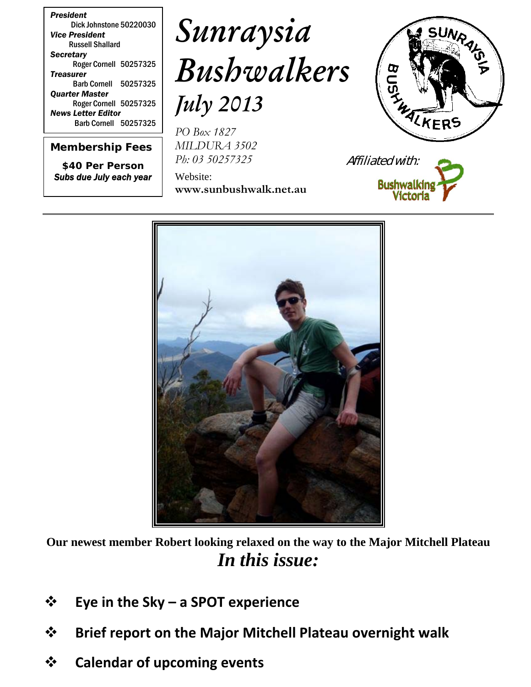*President* Dick Johnstone 50220030 *Vice President* Russell Shallard *Secretary* Roger Cornell 50257325 *Treasurer* Barb Cornell 50257325 *Quarter Master* Roger Cornell 50257325 *News Letter Editor* Barb Cornell 50257325

*Membership Fees*

*\$40 Per Person Subs due July each year*

# *Sunraysia Bushwalkers July 2013*

*PO Box 1827 MILDURA 3502 Ph: 03 50257325*

Website: **www.sunbushwalk.net.au**







**Our newest member Robert looking relaxed on the way to the Major Mitchell Plateau** *In this issue:*

- **Eye in the Sky – a SPOT experience**
- **Brief report on the Major Mitchell Plateau overnight walk**
- **Calendar of upcoming events**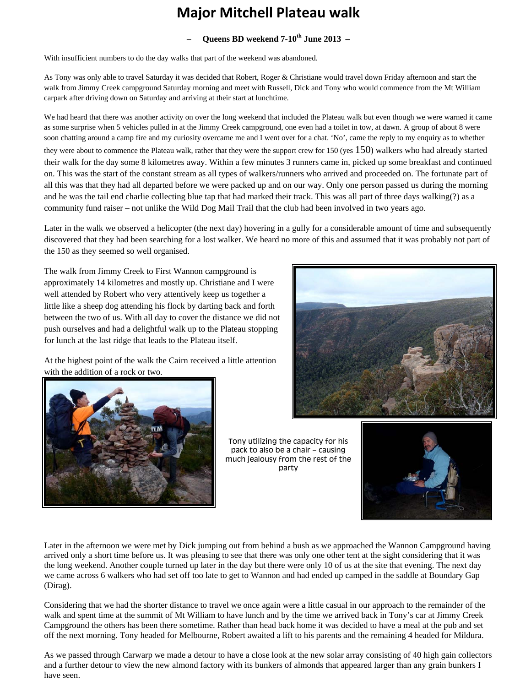## **Major Mitchell Plateau walk**

#### – **Queens BD weekend 7-10th June 2013 –**

With insufficient numbers to do the day walks that part of the weekend was abandoned.

As Tony was only able to travel Saturday it was decided that Robert, Roger & Christiane would travel down Friday afternoon and start the walk from Jimmy Creek campground Saturday morning and meet with Russell, Dick and Tony who would commence from the Mt William carpark after driving down on Saturday and arriving at their start at lunchtime.

We had heard that there was another activity on over the long weekend that included the Plateau walk but even though we were warned it came as some surprise when 5 vehicles pulled in at the Jimmy Creek campground, one even had a toilet in tow, at dawn. A group of about 8 were soon chatting around a camp fire and my curiosity overcame me and I went over for a chat. 'No', came the reply to my enquiry as to whether they were about to commence the Plateau walk, rather that they were the support crew for 150 (yes  $150$ ) walkers who had already started their walk for the day some 8 kilometres away. Within a few minutes 3 runners came in, picked up some breakfast and continued on. This was the start of the constant stream as all types of walkers/runners who arrived and proceeded on. The fortunate part of all this was that they had all departed before we were packed up and on our way. Only one person passed us during the morning and he was the tail end charlie collecting blue tap that had marked their track. This was all part of three days walking(?) as a community fund raiser – not unlike the Wild Dog Mail Trail that the club had been involved in two years ago.

Later in the walk we observed a helicopter (the next day) hovering in a gully for a considerable amount of time and subsequently discovered that they had been searching for a lost walker. We heard no more of this and assumed that it was probably not part of the 150 as they seemed so well organised.

The walk from Jimmy Creek to First Wannon campground is approximately 14 kilometres and mostly up. Christiane and I were well attended by Robert who very attentively keep us together a little like a sheep dog attending his flock by darting back and forth between the two of us. With all day to cover the distance we did not push ourselves and had a delightful walk up to the Plateau stopping for lunch at the last ridge that leads to the Plateau itself.

At the highest point of the walk the Cairn received a little attention with the addition of a rock or two.





Tony utilizing the capacity for his pack to also be a chair – causing much jealousy from the rest of the party



Later in the afternoon we were met by Dick jumping out from behind a bush as we approached the Wannon Campground having arrived only a short time before us. It was pleasing to see that there was only one other tent at the sight considering that it was the long weekend. Another couple turned up later in the day but there were only 10 of us at the site that evening. The next day we came across 6 walkers who had set off too late to get to Wannon and had ended up camped in the saddle at Boundary Gap (Dirag).

Considering that we had the shorter distance to travel we once again were a little casual in our approach to the remainder of the walk and spent time at the summit of Mt William to have lunch and by the time we arrived back in Tony's car at Jimmy Creek Campground the others has been there sometime. Rather than head back home it was decided to have a meal at the pub and set off the next morning. Tony headed for Melbourne, Robert awaited a lift to his parents and the remaining 4 headed for Mildura.

As we passed through Carwarp we made a detour to have a close look at the new solar array consisting of 40 high gain collectors and a further detour to view the new almond factory with its bunkers of almonds that appeared larger than any grain bunkers I have seen.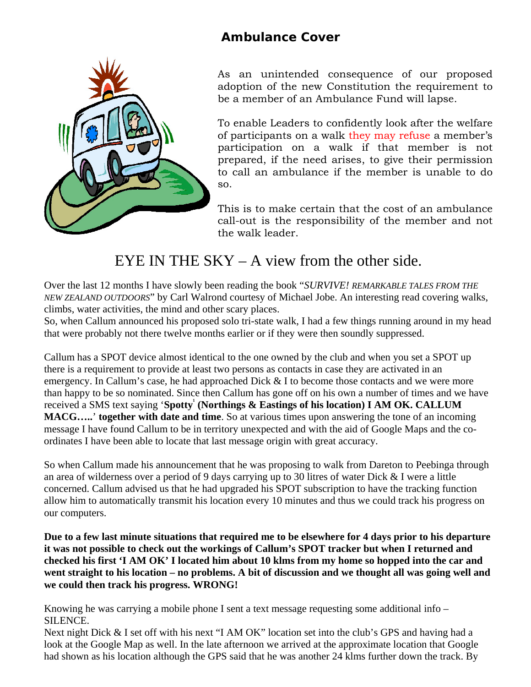### **Ambulance Cover**



As an unintended consequence of our proposed adoption of the new Constitution the requirement to be a member of an Ambulance Fund will lapse.

To enable Leaders to confidently look after the welfare of participants on a walk they may refuse a member's participation on a walk if that member is not prepared, if the need arises, to give their permission to call an ambulance if the member is unable to do so.

This is to make certain that the cost of an ambulance call-out is the responsibility of the member and not the walk leader.

## EYE IN THE SKY – A view from the other side.

Over the last 12 months I have slowly been reading the book "*SURVIVE! REMARKABLE TALES FROM THE NEW ZEALAND OUTDOORS*" by Carl Walrond courtesy of Michael Jobe. An interesting read covering walks, climbs, water activities, the mind and other scary places.

So, when Callum announced his proposed solo tri-state walk, I had a few things running around in my head that were probably not there twelve months earlier or if they were then soundly suppressed.

Callum has a SPOT device almost identical to the one owned by the club and when you set a SPOT up there is a requirement to provide at least two persons as contacts in case they are activated in an emergency. In Callum's case, he had approached Dick & I to become those contacts and we were more than happy to be so nominated. Since then Callum has gone off on his own a number of times and we have received a SMS text saying 'Spotty' (Northings & Eastings of his location) I AM OK. CALLUM **MACG…..**' **together with date and time**. So at various times upon answering the tone of an incoming message I have found Callum to be in territory unexpected and with the aid of Google Maps and the coordinates I have been able to locate that last message origin with great accuracy.

So when Callum made his announcement that he was proposing to walk from Dareton to Peebinga through an area of wilderness over a period of 9 days carrying up to 30 litres of water Dick & I were a little concerned. Callum advised us that he had upgraded his SPOT subscription to have the tracking function allow him to automatically transmit his location every 10 minutes and thus we could track his progress on our computers.

**Due to a few last minute situations that required me to be elsewhere for 4 days prior to his departure it was not possible to check out the workings of Callum's SPOT tracker but when I returned and checked his first 'I AM OK' I located him about 10 klms from my home so hopped into the car and went straight to his location – no problems. A bit of discussion and we thought all was going well and we could then track his progress. WRONG!**

Knowing he was carrying a mobile phone I sent a text message requesting some additional info – SILENCE.

Next night Dick & I set off with his next "I AM OK" location set into the club's GPS and having had a look at the Google Map as well. In the late afternoon we arrived at the approximate location that Google had shown as his location although the GPS said that he was another 24 klms further down the track. By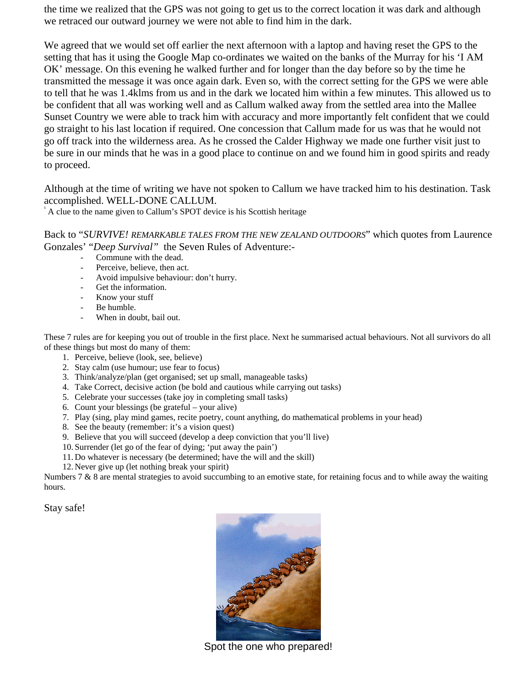the time we realized that the GPS was not going to get us to the correct location it was dark and although we retraced our outward journey we were not able to find him in the dark.

We agreed that we would set off earlier the next afternoon with a laptop and having reset the GPS to the setting that has it using the Google Map co-ordinates we waited on the banks of the Murray for his 'I AM OK' message. On this evening he walked further and for longer than the day before so by the time he transmitted the message it was once again dark. Even so, with the correct setting for the GPS we were able to tell that he was 1.4klms from us and in the dark we located him within a few minutes. This allowed us to be confident that all was working well and as Callum walked away from the settled area into the Mallee Sunset Country we were able to track him with accuracy and more importantly felt confident that we could go straight to his last location if required. One concession that Callum made for us was that he would not go off track into the wilderness area. As he crossed the Calder Highway we made one further visit just to be sure in our minds that he was in a good place to continue on and we found him in good spirits and ready to proceed.

Although at the time of writing we have not spoken to Callum we have tracked him to his destination. Task accomplished. WELL-DONE CALLUM.

A clue to the name given to Callum's SPOT device is his Scottish heritage

Back to "*SURVIVE! REMARKABLE TALES FROM THE NEW ZEALAND OUTDOORS*" which quotes from Laurence Gonzales' "*Deep Survival"* the Seven Rules of Adventure:-

- Commune with the dead.
- Perceive, believe, then act.
- Avoid impulsive behaviour: don't hurry.
- Get the information.
- Know your stuff
- Be humble.
- When in doubt, bail out.

These 7 rules are for keeping you out of trouble in the first place. Next he summarised actual behaviours. Not all survivors do all of these things but most do many of them:

- 1. Perceive, believe (look, see, believe)
- 2. Stay calm (use humour; use fear to focus)
- 3. Think/analyze/plan (get organised; set up small, manageable tasks)
- 4. Take Correct, decisive action (be bold and cautious while carrying out tasks)
- 5. Celebrate your successes (take joy in completing small tasks)
- 6. Count your blessings (be grateful your alive)
- 7. Play (sing, play mind games, recite poetry, count anything, do mathematical problems in your head)
- 8. See the beauty (remember: it's a vision quest)
- 9. Believe that you will succeed (develop a deep conviction that you'll live)
- 10. Surrender (let go of the fear of dying; 'put away the pain')
- 11. Do whatever is necessary (be determined; have the will and the skill)
- 12. Never give up (let nothing break your spirit)

Numbers  $7 & 8$  8 are mental strategies to avoid succumbing to an emotive state, for retaining focus and to while away the waiting hours.

Stay safe!



Spot the one who prepared!